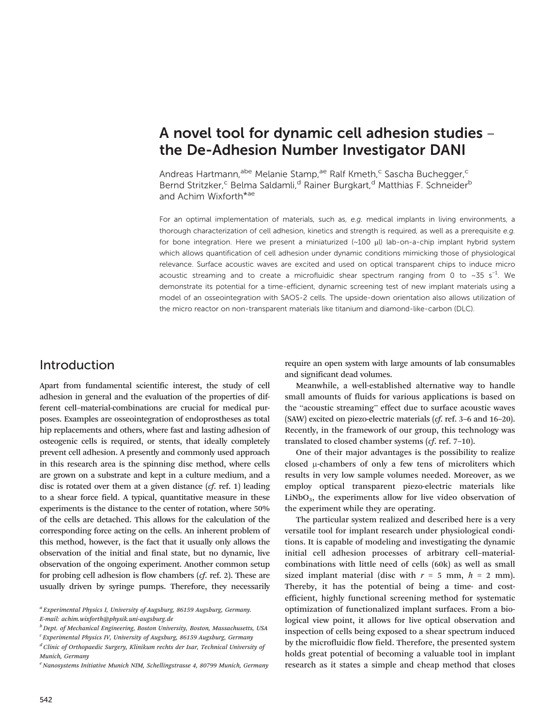# A novel tool for dynamic cell adhesion studies – the De-Adhesion Number Investigator DANI

Andreas Hartmann,<sup>abe</sup> Melanie Stamp,<sup>ae</sup> Ralf Kmeth,<sup>c</sup> Sascha Buchegger,<sup>c</sup> Bernd Stritzker,<sup>c</sup> Belma Saldamli,<sup>d</sup> Rainer Burgkart,<sup>d</sup> Matthias F. Schneider<sup>b</sup> and Achim Wixforth<sup>\*ae</sup>

For an optimal implementation of materials, such as, e.g. medical implants in living environments, <sup>a</sup> thorough characterization of cell adhesion, kinetics and strength is required, as well as a prerequisite e.g. for bone integration. Here we present a miniaturized (~100 μl) lab-on-a-chip implant hybrid system which allows quantification of cell adhesion under dynamic conditions mimicking those of physiological relevance. Surface acoustic waves are excited and used on optical transparent chips to induce micro acoustic streaming and to create a microfluidic shear spectrum ranging from 0 to ~35 s<sup>-1</sup>. We demonstrate its potential for a time-efficient, dynamic screening test of new implant materials using a model of an osseointegration with SAOS-2 cells. The upside-down orientation also allows utilization of the micro reactor on non-transparent materials like titanium and diamond-like-carbon (DLC).

### Introduction

Apart from fundamental scientific interest, the study of cell adhesion in general and the evaluation of the properties of different cell–material-combinations are crucial for medical purposes. Examples are osseointegration of endoprostheses as total hip replacements and others, where fast and lasting adhesion of osteogenic cells is required, or stents, that ideally completely prevent cell adhesion. A presently and commonly used approach in this research area is the spinning disc method, where cells are grown on a substrate and kept in a culture medium, and a disc is rotated over them at a given distance  $(cf.$  [ref.](#page-4-0) 1) leading to a shear force field. A typical, quantitative measure in these experiments is the distance to the center of rotation, where 50% of the cells are detached. This allows for the calculation of the corresponding force acting on the cells. An inherent problem of this method, however, is the fact that it usually only allows the observation of the initial and final state, but no dynamic, live observation of the ongoing experiment. Another common setup for probing cell adhesion is flow chambers (cf. [ref.](#page-4-0) 2). These are usually driven by syringe pumps. Therefore, they necessarily

<sup>a</sup> Experimental Physics I, University of Augsburg, 86159 Augsburg, Germany. E-mail: achim.wixforth@physik.uni-augsburg.de

 ${}^{d}$ Clinic of Orthopaedic Surgery, Klinikum rechts der Isar, Technical University of Munich, Germany

require an open system with large amounts of lab consumables and significant dead volumes.

Meanwhile, a well-established alternative way to handle small amounts of fluids for various applications is based on the "acoustic streaming" effect due to surface acoustic waves (SAW) excited on piezo-electric materials (cf. ref. 3–6 and 16–20). Recently, in the framework of our group, this technology was translated to closed chamber systems (cf. ref. 7–10).

One of their major advantages is the possibility to realize closed μ-chambers of only a few tens of microliters which results in very low sample volumes needed. Moreover, as we employ optical transparent piezo-electric materials like  $LiNbO<sub>3</sub>$ , the experiments allow for live video observation of the experiment while they are operating.

The particular system realized and described here is a very versatile tool for implant research under physiological conditions. It is capable of modeling and investigating the dynamic initial cell adhesion processes of arbitrary cell–materialcombinations with little need of cells (60k) as well as small sized implant material (disc with  $r = 5$  mm,  $h = 2$  mm). Thereby, it has the potential of being a time- and costefficient, highly functional screening method for systematic optimization of functionalized implant surfaces. From a biological view point, it allows for live optical observation and inspection of cells being exposed to a shear spectrum induced by the microfluidic flow field. Therefore, the presented system holds great potential of becoming a valuable tool in implant research as it states a simple and cheap method that closes

 $b$  Dept. of Mechanical Engineering, Boston University, Boston, Massachusetts, USA

<sup>&</sup>lt;sup>c</sup> Experimental Physics IV, University of Augsburg, 86159 Augsburg, Germany

 $e<sup>e</sup>$  Nanosystems Initiative Munich NIM, Schellingstrasse 4, 80799 Munich, Germany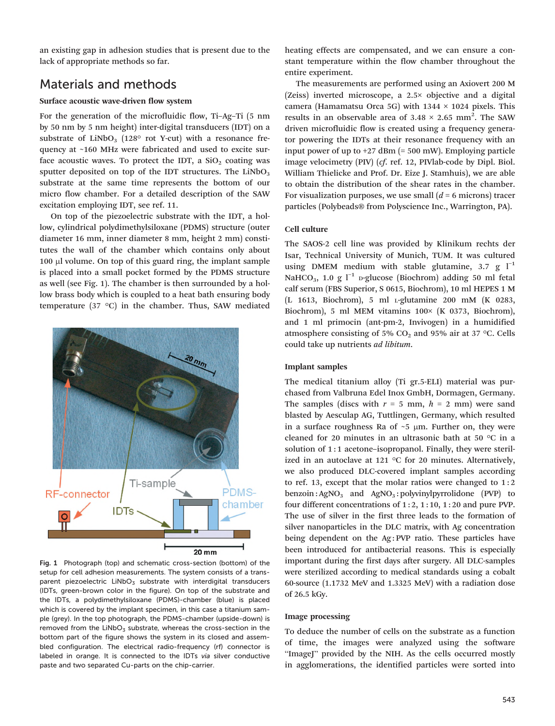an existing gap in adhesion studies that is present due to the lack of appropriate methods so far.

# Materials and methods

#### Surface acoustic wave-driven flow system

For the generation of the microfluidic flow, Ti–Ag–Ti (5 nm by 50 nm by 5 nm height) inter-digital transducers (IDT) on a substrate of  $LiNbO<sub>3</sub>$  (128° rot Y-cut) with a resonance frequency at ~160 MHz were fabricated and used to excite surface acoustic waves. To protect the IDT, a  $SiO<sub>2</sub>$  coating was sputter deposited on top of the IDT structures. The  $LiNbO<sub>3</sub>$ substrate at the same time represents the bottom of our micro flow chamber. For a detailed description of the SAW excitation employing IDT, see [ref.](#page-4-0) 11.

On top of the piezoelectric substrate with the IDT, a hollow, cylindrical polydimethylsiloxane (PDMS) structure (outer diameter 16 mm, inner diameter 8 mm, height 2 mm) constitutes the wall of the chamber which contains only about 100 μl volume. On top of this guard ring, the implant sample is placed into a small pocket formed by the PDMS structure as well (see Fig. 1). The chamber is then surrounded by a hollow brass body which is coupled to a heat bath ensuring body temperature (37 °C) in the chamber. Thus, SAW mediated



Fig. 1 Photograph (top) and schematic cross-section (bottom) of the setup for cell adhesion measurements. The system consists of a transparent piezoelectric LiNbO<sub>3</sub> substrate with interdigital transducers (IDTs, green-brown color in the figure). On top of the substrate and the IDTs, a polydimethylsiloxane (PDMS)-chamber (blue) is placed which is covered by the implant specimen, in this case a titanium sample (grey). In the top photograph, the PDMS-chamber (upside-down) is removed from the  $LiNbO<sub>3</sub>$  substrate, whereas the cross-section in the bottom part of the figure shows the system in its closed and assembled configuration. The electrical radio-frequency (rf) connector is labeled in orange. It is connected to the IDTs via silver conductive paste and two separated Cu-parts on the chip-carrier.

heating effects are compensated, and we can ensure a constant temperature within the flow chamber throughout the entire experiment.

The measurements are performed using an Axiovert 200 M (Zeiss) inverted microscope, a 2.5× objective and a digital camera (Hamamatsu Orca 5G) with  $1344 \times 1024$  pixels. This results in an observable area of  $3.48 \times 2.65$  mm<sup>2</sup>. The SAW driven microfluidic flow is created using a frequency generator powering the IDTs at their resonance frequency with an input power of up to  $+27$  dBm (= 500 mW). Employing particle image velocimetry (PIV) (cf. [ref.](#page-4-0) 12, PIVlab-code by Dipl. Biol. William Thielicke and Prof. Dr. Eize J. Stamhuis), we are able to obtain the distribution of the shear rates in the chamber. For visualization purposes, we use small  $(d = 6 \text{ microns})$  tracer particles (Polybeads® from Polyscience Inc., Warrington, PA).

#### Cell culture

The SAOS-2 cell line was provided by Klinikum rechts der Isar, Technical University of Munich, TUM. It was cultured using DMEM medium with stable glutamine, 3.7 g  $I^{-1}$ NaHCO<sub>3</sub>, 1.0 g  $l^{-1}$  p-glucose (Biochrom) adding 50 ml fetal calf serum (FBS Superior, S 0615, Biochrom), 10 ml HEPES 1 M (L 1613, Biochrom), 5 ml <sup>L</sup>-glutamine 200 mM (K 0283, Biochrom), 5 ml MEM vitamins 100× (K 0373, Biochrom), and 1 ml primocin (ant-pm-2, Invivogen) in a humidified atmosphere consisting of 5%  $CO<sub>2</sub>$  and 95% air at 37 °C. Cells could take up nutrients ad libitum.

#### Implant samples

The medical titanium alloy (Ti gr.5-ELI) material was purchased from Valbruna Edel Inox GmbH, Dormagen, Germany. The samples (discs with  $r = 5$  mm,  $h = 2$  mm) were sand blasted by Aesculap AG, Tuttlingen, Germany, which resulted in a surface roughness Ra of  $\sim$  5  $\mu$ m. Further on, they were cleaned for 20 minutes in an ultrasonic bath at 50 °C in a solution of 1:1 acetone-isopropanol. Finally, they were sterilized in an autoclave at 121 °C for 20 minutes. Alternatively, we also produced DLC-covered implant samples according to [ref.](#page-4-0) 13, except that the molar ratios were changed to  $1:2$ benzoin :  $AgNO<sub>3</sub>$  and  $AgNO<sub>3</sub>$  : polyvinylpyrrolidone (PVP) to four different concentrations of 1 : 2, 1 : 10, 1 : 20 and pure PVP. The use of silver in the first three leads to the formation of silver nanoparticles in the DLC matrix, with Ag concentration being dependent on the Ag: PVP ratio. These particles have been introduced for antibacterial reasons. This is especially important during the first days after surgery. All DLC-samples were sterilized according to medical standards using a cobalt 60-source (1.1732 MeV and 1.3325 MeV) with a radiation dose of 26.5 kGy.

#### Image processing

To deduce the number of cells on the substrate as a function of time, the images were analyzed using the software "ImageJ" provided by the NIH. As the cells occurred mostly in agglomerations, the identified particles were sorted into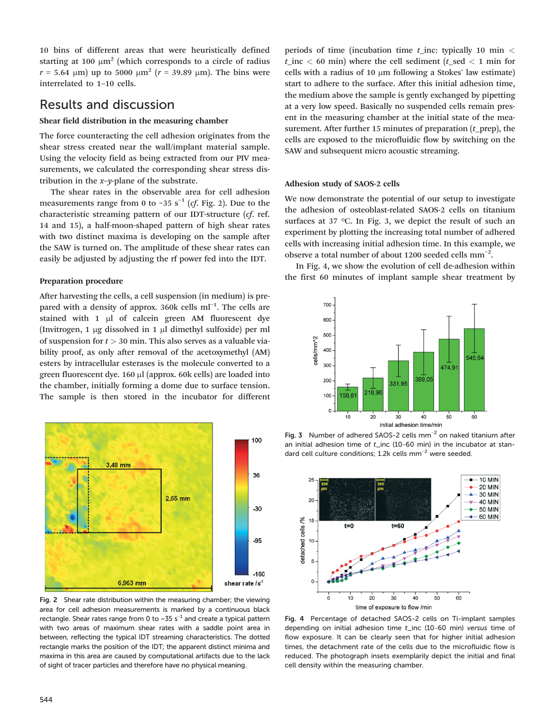10 bins of different areas that were heuristically defined starting at 100  $\mu$ m<sup>2</sup> (which corresponds to a circle of radius  $r = 5.64 \, \mu m$ ) up to 5000  $\mu$ m<sup>2</sup> ( $r = 39.89 \, \mu$ m). The bins were interrelated to 1–10 cells.

### Results and discussion

### Shear field distribution in the measuring chamber

The force counteracting the cell adhesion originates from the shear stress created near the wall/implant material sample. Using the velocity field as being extracted from our PIV measurements, we calculated the corresponding shear stress distribution in the  $x$ -y-plane of the substrate.

The shear rates in the observable area for cell adhesion measurements range from 0 to ~35  $s^{-1}$  (*cf.* Fig. 2). Due to the characteristic streaming pattern of our IDT-structure (cf. ref. 14 and 15), a half-moon-shaped pattern of high shear rates with two distinct maxima is developing on the sample after the SAW is turned on. The amplitude of these shear rates can easily be adjusted by adjusting the rf power fed into the IDT.

### Preparation procedure

After harvesting the cells, a cell suspension (in medium) is prepared with a density of approx. 360k cells ml<sup>-1</sup>. The cells are stained with 1 μl of calcein green AM fluorescent dye (Invitrogen, 1 μg dissolved in 1 μl dimethyl sulfoxide) per ml of suspension for  $t > 30$  min. This also serves as a valuable viability proof, as only after removal of the acetoxymethyl (AM) esters by intracellular esterases is the molecule converted to a green fluorescent dye. 160 μl (approx. 60k cells) are loaded into the chamber, initially forming a dome due to surface tension. The sample is then stored in the incubator for different



Fig. 2 Shear rate distribution within the measuring chamber; the viewing area for cell adhesion measurements is marked by a continuous black rectangle. Shear rates range from 0 to ~35 s $^{-1}$  and create a typical pattern with two areas of maximum shear rates with a saddle point area in between, reflecting the typical IDT streaming characteristics. The dotted rectangle marks the position of the IDT; the apparent distinct minima and maxima in this area are caused by computational artifacts due to the lack of sight of tracer particles and therefore have no physical meaning.

periods of time (incubation time  $t$  inc: typically 10 min  $\lt$  $t_$ inc < 60 min) where the cell sediment ( $t_$ sed < 1 min for cells with a radius of 10 μm following a Stokes' law estimate) start to adhere to the surface. After this initial adhesion time, the medium above the sample is gently exchanged by pipetting at a very low speed. Basically no suspended cells remain present in the measuring chamber at the initial state of the measurement. After further 15 minutes of preparation  $(t$  prep), the cells are exposed to the microfluidic flow by switching on the SAW and subsequent micro acoustic streaming.

#### Adhesion study of SAOS-2 cells

We now demonstrate the potential of our setup to investigate the adhesion of osteoblast-related SAOS-2 cells on titanium surfaces at 37 °C. In Fig. 3, we depict the result of such an experiment by plotting the increasing total number of adhered cells with increasing initial adhesion time. In this example, we observe a total number of about 1200 seeded cells  $mm^{-2}$ .

In Fig. 4, we show the evolution of cell de-adhesion within the first 60 minutes of implant sample shear treatment by



Fig. 3 Number of adhered SAOS-2 cells mm<sup>-2</sup> on naked titanium after an initial adhesion time of  $t$ \_inc (10-60 min) in the incubator at standard cell culture conditions; 1.2k cells mm−<sup>2</sup> were seeded.



Fig. 4 Percentage of detached SAOS-2 cells on Ti-implant samples depending on initial adhesion time t\_inc (10–60 min) versus time of flow exposure. It can be clearly seen that for higher initial adhesion times, the detachment rate of the cells due to the microfluidic flow is reduced. The photograph insets exemplarily depict the initial and final cell density within the measuring chamber.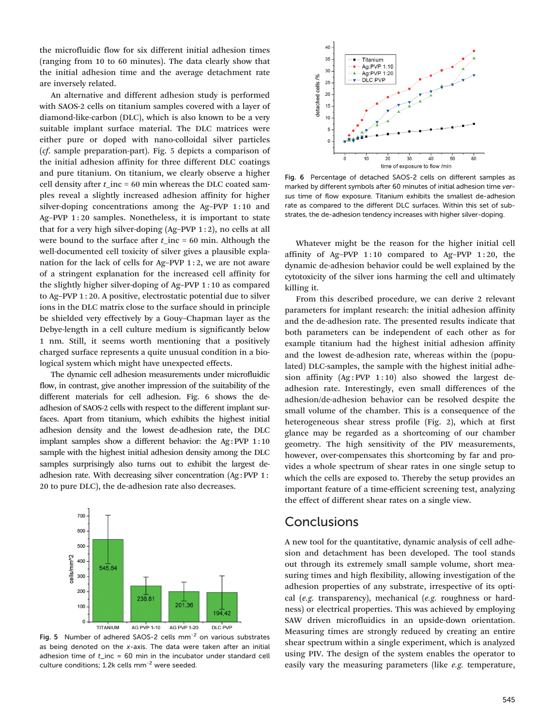the microfluidic flow for six different initial adhesion times (ranging from 10 to 60 minutes). The data clearly show that the initial adhesion time and the average detachment rate are inversely related.

An alternative and different adhesion study is performed with SAOS-2 cells on titanium samples covered with a layer of diamond-like-carbon (DLC), which is also known to be a very suitable implant surface material. The DLC matrices were either pure or doped with nano-colloidal silver particles (cf. sample preparation-part). Fig. 5 depicts a comparison of the initial adhesion affinity for three different DLC coatings and pure titanium. On titanium, we clearly observe a higher cell density after  $t$ \_inc = 60 min whereas the DLC coated samples reveal a slightly increased adhesion affinity for higher silver-doping concentrations among the Ag–PVP 1:10 and Ag–PVP 1:20 samples. Nonetheless, it is important to state that for a very high silver-doping  $(Ag-PVP 1:2)$ , no cells at all were bound to the surface after  $t$ \_inc = 60 min. Although the well-documented cell toxicity of silver gives a plausible explanation for the lack of cells for Ag–PVP 1 : 2, we are not aware of a stringent explanation for the increased cell affinity for the slightly higher silver-doping of Ag–PVP 1 : 10 as compared to Ag–PVP 1 : 20. A positive, electrostatic potential due to silver ions in the DLC matrix close to the surface should in principle be shielded very effectively by a Gouy–Chapman layer as the Debye-length in a cell culture medium is significantly below 1 nm. Still, it seems worth mentioning that a positively charged surface represents a quite unusual condition in a biological system which might have unexpected effects.

The dynamic cell adhesion measurements under microfluidic flow, in contrast, give another impression of the suitability of the different materials for cell adhesion. Fig. 6 shows the deadhesion of SAOS-2 cells with respect to the different implant surfaces. Apart from titanium, which exhibits the highest initial adhesion density and the lowest de-adhesion rate, the DLC implant samples show a different behavior: the Ag: PVP 1:10 sample with the highest initial adhesion density among the DLC samples surprisingly also turns out to exhibit the largest deadhesion rate. With decreasing silver concentration (Ag: PVP 1: 20 to pure DLC), the de-adhesion rate also decreases.



Fig. 5 Number of adhered SAOS-2 cells mm<sup>-2</sup> on various substrates as being denoted on the x-axis. The data were taken after an initial adhesion time of  $t$ \_inc = 60 min in the incubator under standard cell culture conditions; 1.2k cells mm−<sup>2</sup> were seeded.



Fig. 6 Percentage of detached SAOS-2 cells on different samples as marked by different symbols after 60 minutes of initial adhesion time versus time of flow exposure. Titanium exhibits the smallest de-adhesion rate as compared to the different DLC surfaces. Within this set of substrates, the de-adhesion tendency increases with higher silver-doping.

Whatever might be the reason for the higher initial cell affinity of Ag–PVP  $1:10$  compared to Ag–PVP  $1:20$ , the dynamic de-adhesion behavior could be well explained by the cytotoxicity of the silver ions harming the cell and ultimately killing it.

From this described procedure, we can derive 2 relevant parameters for implant research: the initial adhesion affinity and the de-adhesion rate. The presented results indicate that both parameters can be independent of each other as for example titanium had the highest initial adhesion affinity and the lowest de-adhesion rate, whereas within the (populated) DLC-samples, the sample with the highest initial adhesion affinity  $(Ag : PVP 1 : 10)$  also showed the largest deadhesion rate. Interestingly, even small differences of the adhesion/de-adhesion behavior can be resolved despite the small volume of the chamber. This is a consequence of the heterogeneous shear stress profile (Fig. 2), which at first glance may be regarded as a shortcoming of our chamber geometry. The high sensitivity of the PIV measurements, however, over-compensates this shortcoming by far and provides a whole spectrum of shear rates in one single setup to which the cells are exposed to. Thereby the setup provides an important feature of a time-efficient screening test, analyzing the effect of different shear rates on a single view.

### **Conclusions**

A new tool for the quantitative, dynamic analysis of cell adhesion and detachment has been developed. The tool stands out through its extremely small sample volume, short measuring times and high flexibility, allowing investigation of the adhesion properties of any substrate, irrespective of its optical (e.g. transparency), mechanical (e.g. roughness or hardness) or electrical properties. This was achieved by employing SAW driven microfluidics in an upside-down orientation. Measuring times are strongly reduced by creating an entire shear spectrum within a single experiment, which is analyzed using PIV. The design of the system enables the operator to easily vary the measuring parameters (like e.g. temperature,